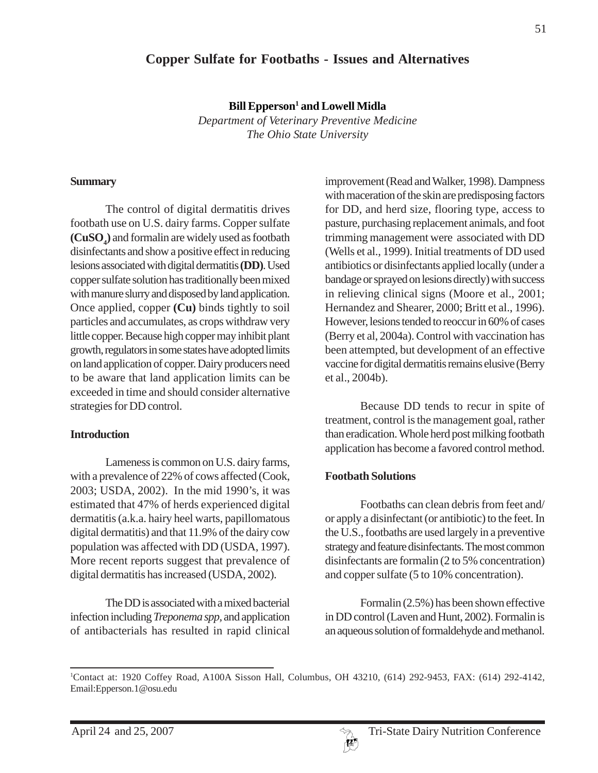# **Copper Sulfate for Footbaths - Issues and Alternatives**

 $\mathbf{Bill}\,\mathbf{Epperson^1}$  and  $\mathbf{Lowell}\,\mathbf{Midla}$ 

*Department of Veterinary Preventive Medicine The Ohio State University*

#### **Summary**

The control of digital dermatitis drives footbath use on U.S. dairy farms. Copper sulfate **(CuSO4 )** and formalin are widely used as footbath disinfectants and show a positive effect in reducing lesions associated with digital dermatitis **(DD)**. Used copper sulfate solution has traditionally been mixed with manure slurry and disposed by land application. Once applied, copper **(Cu)** binds tightly to soil particles and accumulates, as crops withdraw very little copper. Because high copper may inhibit plant growth, regulators in some states have adopted limits on land application of copper. Dairy producers need to be aware that land application limits can be exceeded in time and should consider alternative strategies for DD control.

### **Introduction**

Lameness is common on U.S. dairy farms, with a prevalence of 22% of cows affected (Cook, 2003; USDA, 2002). In the mid 1990's, it was estimated that 47% of herds experienced digital dermatitis (a.k.a. hairy heel warts, papillomatous digital dermatitis) and that 11.9% of the dairy cow population was affected with DD (USDA, 1997). More recent reports suggest that prevalence of digital dermatitis has increased (USDA, 2002).

The DD is associated with a mixed bacterial infection including *Treponema spp,* and application of antibacterials has resulted in rapid clinical improvement (Read and Walker, 1998). Dampness with maceration of the skin are predisposing factors for DD, and herd size, flooring type, access to pasture, purchasing replacement animals, and foot trimming management were associated with DD (Wells et al., 1999). Initial treatments of DD used antibiotics or disinfectants applied locally (under a bandage or sprayed on lesions directly) with success in relieving clinical signs (Moore et al., 2001; Hernandez and Shearer, 2000; Britt et al., 1996). However, lesions tended to reoccur in 60% of cases (Berry et al, 2004a). Control with vaccination has been attempted, but development of an effective vaccine for digital dermatitis remains elusive (Berry et al., 2004b).

Because DD tends to recur in spite of treatment, control is the management goal, rather than eradication. Whole herd post milking footbath application has become a favored control method.

### **Footbath Solutions**

Footbaths can clean debris from feet and/ or apply a disinfectant (or antibiotic) to the feet. In the U.S., footbaths are used largely in a preventive strategy and feature disinfectants. The most common disinfectants are formalin (2 to 5% concentration) and copper sulfate (5 to 10% concentration).

Formalin (2.5%) has been shown effective in DD control (Laven and Hunt, 2002). Formalin is an aqueous solution of formaldehyde and methanol.

<sup>1</sup> Contact at: 1920 Coffey Road, A100A Sisson Hall, Columbus, OH 43210, (614) 292-9453, FAX: (614) 292-4142, Email:Epperson.1@osu.edu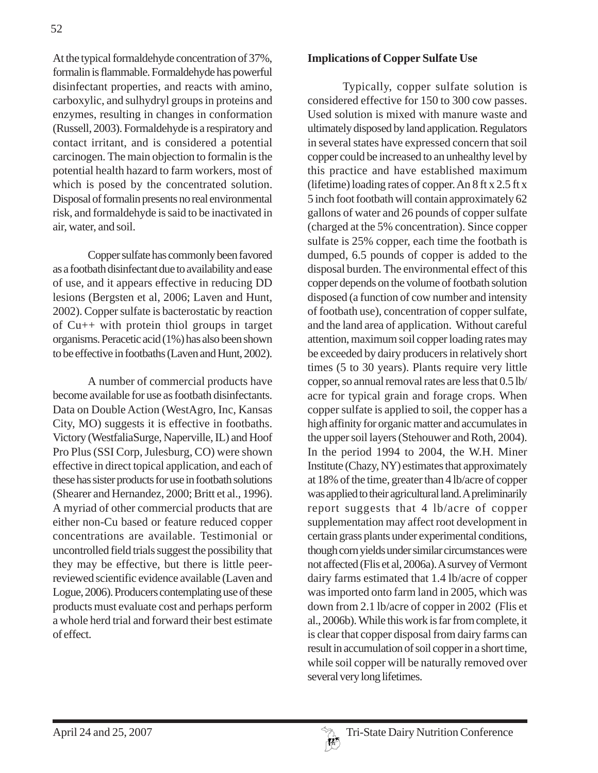At the typical formaldehyde concentration of 37%, formalin is flammable. Formaldehyde has powerful disinfectant properties, and reacts with amino, carboxylic, and sulhydryl groups in proteins and enzymes, resulting in changes in conformation (Russell, 2003). Formaldehyde is a respiratory and contact irritant, and is considered a potential carcinogen. The main objection to formalin is the potential health hazard to farm workers, most of which is posed by the concentrated solution. Disposal of formalin presents no real environmental risk, and formaldehyde is said to be inactivated in air, water, and soil.

Copper sulfate has commonly been favored as a footbath disinfectant due to availability and ease of use, and it appears effective in reducing DD lesions (Bergsten et al, 2006; Laven and Hunt, 2002). Copper sulfate is bacterostatic by reaction of Cu++ with protein thiol groups in target organisms. Peracetic acid (1%) has also been shown to be effective in footbaths (Laven and Hunt, 2002).

A number of commercial products have become available for use as footbath disinfectants. Data on Double Action (WestAgro, Inc, Kansas City, MO) suggests it is effective in footbaths. Victory (WestfaliaSurge, Naperville, IL) and Hoof Pro Plus (SSI Corp, Julesburg, CO) were shown effective in direct topical application, and each of these has sister products for use in footbath solutions (Shearer and Hernandez, 2000; Britt et al., 1996). A myriad of other commercial products that are either non-Cu based or feature reduced copper concentrations are available. Testimonial or uncontrolled field trials suggest the possibility that they may be effective, but there is little peerreviewed scientific evidence available (Laven and Logue, 2006). Producers contemplating use of these products must evaluate cost and perhaps perform a whole herd trial and forward their best estimate of effect.

#### **Implications of Copper Sulfate Use**

Typically, copper sulfate solution is considered effective for 150 to 300 cow passes. Used solution is mixed with manure waste and ultimately disposed by land application. Regulators in several states have expressed concern that soil copper could be increased to an unhealthy level by this practice and have established maximum (lifetime) loading rates of copper. An 8 ft x 2.5 ft x 5 inch foot footbath will contain approximately 62 gallons of water and 26 pounds of copper sulfate (charged at the 5% concentration). Since copper sulfate is 25% copper, each time the footbath is dumped, 6.5 pounds of copper is added to the disposal burden. The environmental effect of this copper depends on the volume of footbath solution disposed (a function of cow number and intensity of footbath use), concentration of copper sulfate, and the land area of application. Without careful attention, maximum soil copper loading rates may be exceeded by dairy producers in relatively short times (5 to 30 years). Plants require very little copper, so annual removal rates are less that 0.5 lb/ acre for typical grain and forage crops. When copper sulfate is applied to soil, the copper has a high affinity for organic matter and accumulates in the upper soil layers (Stehouwer and Roth, 2004). In the period 1994 to 2004, the W.H. Miner Institute (Chazy, NY) estimates that approximately at 18% of the time, greater than 4 lb/acre of copper was applied to their agricultural land. A preliminarily report suggests that 4 lb/acre of copper supplementation may affect root development in certain grass plants under experimental conditions, though corn yields under similar circumstances were not affected (Flis et al, 2006a). A survey of Vermont dairy farms estimated that 1.4 lb/acre of copper was imported onto farm land in 2005, which was down from 2.1 lb/acre of copper in 2002 (Flis et al., 2006b). While this work is far from complete, it is clear that copper disposal from dairy farms can result in accumulation of soil copper in a short time, while soil copper will be naturally removed over several very long lifetimes.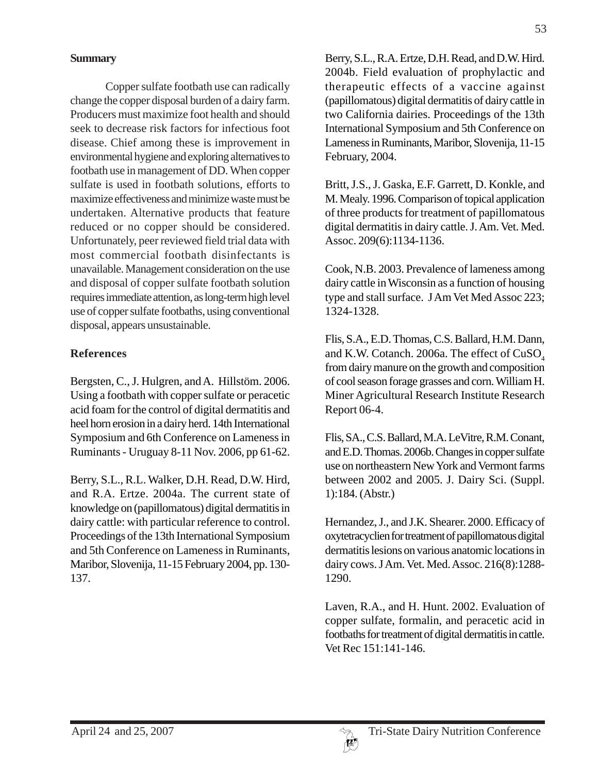Copper sulfate footbath use can radically change the copper disposal burden of a dairy farm. Producers must maximize foot health and should seek to decrease risk factors for infectious foot disease. Chief among these is improvement in environmental hygiene and exploring alternatives to footbath use in management of DD. When copper sulfate is used in footbath solutions, efforts to maximize effectiveness and minimize waste must be undertaken. Alternative products that feature reduced or no copper should be considered. Unfortunately, peer reviewed field trial data with most commercial footbath disinfectants is unavailable. Management consideration on the use and disposal of copper sulfate footbath solution requires immediate attention, as long-term high level use of copper sulfate footbaths, using conventional disposal, appears unsustainable.

## **References**

Bergsten, C., J. Hulgren, and A. Hillstöm. 2006. Using a footbath with copper sulfate or peracetic acid foam for the control of digital dermatitis and heel horn erosion in a dairy herd. 14th International Symposium and 6th Conference on Lameness in Ruminants - Uruguay 8-11 Nov. 2006, pp 61-62.

Berry, S.L., R.L. Walker, D.H. Read, D.W. Hird, and R.A. Ertze. 2004a. The current state of knowledge on (papillomatous) digital dermatitis in dairy cattle: with particular reference to control. Proceedings of the 13th International Symposium and 5th Conference on Lameness in Ruminants, Maribor, Slovenija, 11-15 February 2004, pp. 130- 137.

Berry, S.L., R.A. Ertze, D.H. Read, and D.W. Hird. 2004b. Field evaluation of prophylactic and therapeutic effects of a vaccine against (papillomatous) digital dermatitis of dairy cattle in two California dairies. Proceedings of the 13th International Symposium and 5th Conference on Lameness in Ruminants, Maribor, Slovenija, 11-15 February, 2004.

Britt, J.S., J. Gaska, E.F. Garrett, D. Konkle, and M. Mealy. 1996. Comparison of topical application of three products for treatment of papillomatous digital dermatitis in dairy cattle. J. Am. Vet. Med. Assoc. 209(6):1134-1136.

Cook, N.B. 2003. Prevalence of lameness among dairy cattle in Wisconsin as a function of housing type and stall surface. J Am Vet Med Assoc 223; 1324-1328.

Flis, S.A., E.D. Thomas, C.S. Ballard, H.M. Dann, and K.W. Cotanch. 2006a. The effect of  $CuSO<sub>4</sub>$ from dairy manure on the growth and composition of cool season forage grasses and corn. William H. Miner Agricultural Research Institute Research Report 06-4.

Flis, SA., C.S. Ballard, M.A. LeVitre, R.M. Conant, and E.D. Thomas. 2006b. Changes in copper sulfate use on northeastern New York and Vermont farms between 2002 and 2005. J. Dairy Sci. (Suppl. 1):184. (Abstr.)

Hernandez, J., and J.K. Shearer. 2000. Efficacy of oxytetracyclien for treatment of papillomatous digital dermatitis lesions on various anatomic locations in dairy cows. J Am. Vet. Med. Assoc. 216(8):1288- 1290.

Laven, R.A., and H. Hunt. 2002. Evaluation of copper sulfate, formalin, and peracetic acid in footbaths for treatment of digital dermatitis in cattle. Vet Rec 151:141-146.